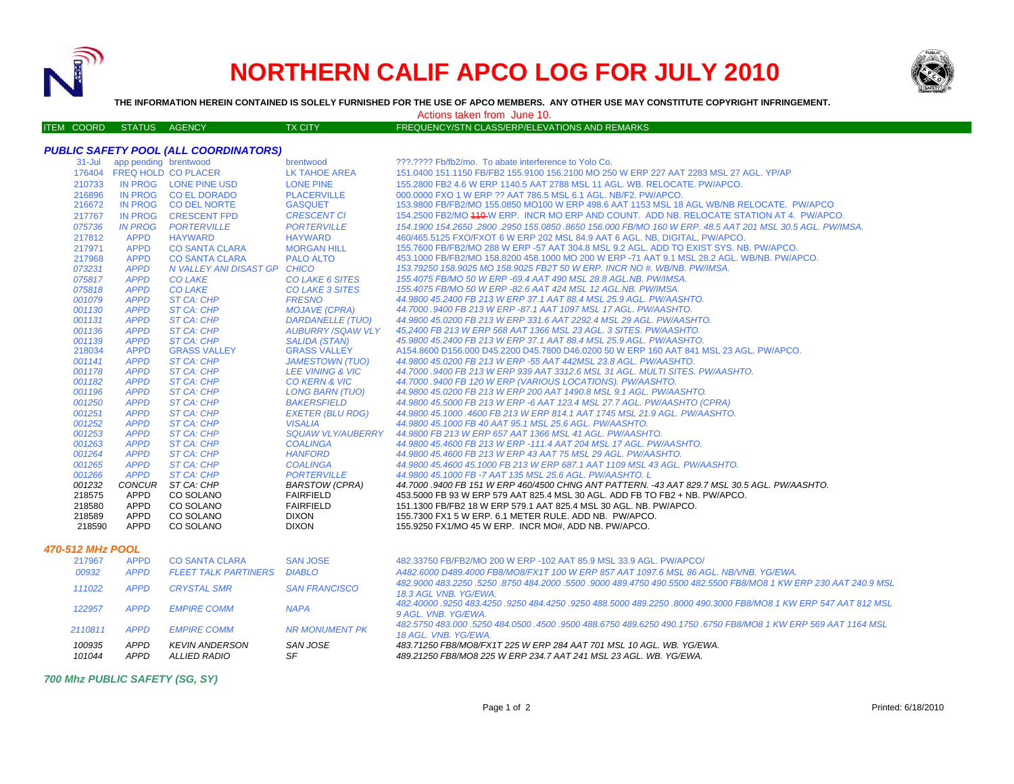

ITEM COORD STATUS AGE

## **NORTHERN CALIF APCO LOG FOR JULY 2010**



**THE INFORMATION HEREIN CONTAINED IS SOLELY FURNISHED FOR THE USE OF APCO MEMBERS. ANY OTHER USE MAY CONSTITUTE COPYRIGHT INFRINGEMENT.**

Actions taken from June 10.

| ENCY | <b>TX CITY</b> | FREQUENCY/STN CLASS/ERP/ELEVATIONS AND REMARKS |
|------|----------------|------------------------------------------------|
|      |                |                                                |

|  | PUBLIC SAFETY POOL (ALL COORDINATORS) |
|--|---------------------------------------|
|--|---------------------------------------|

|                  | 31-Jul app pending brentwood |                              | brentwood                | ???.???? Fb/fb2/mo. To abate interference to Yolo Co.                                                            |
|------------------|------------------------------|------------------------------|--------------------------|------------------------------------------------------------------------------------------------------------------|
|                  |                              | 176404 FREQ HOLD CO PLACER   | LK TAHOE AREA            | 151.0400 151.1150 FB/FB2 155.9100 156.2100 MO 250 W ERP 227 AAT 2283 MSL 27 AGL. YP/AP                           |
| 210733           |                              | IN PROG LONE PINE USD        | <b>LONE PINE</b>         | 155,2800 FB2 4.6 W ERP 1140.5 AAT 2788 MSL 11 AGL, WB, RELOCATE, PW/APCO,                                        |
| 216896           |                              | IN PROG CO EL DORADO         | <b>PLACERVILLE</b>       | 000,0000 FXO 1 W ERP ?? AAT 786.5 MSL 6.1 AGL, NB/F2, PW/APCO,                                                   |
| 216672           |                              | IN PROG CO DEL NORTE         | <b>GASQUET</b>           | 153.9800 FB/FB2/MO 155.0850 MO100 W ERP 498.6 AAT 1153 MSL 18 AGL WB/NB RELOCATE. PW/APCO                        |
| 217767           | <b>IN PROG</b>               | <b>CRESCENT FPD</b>          | <b>CRESCENT CI</b>       | 154.2500 FB2/MO 440-W ERP. INCR MO ERP AND COUNT. ADD NB. RELOCATE STATION AT 4. PW/APCO.                        |
| 075736           | <b>IN PROG</b>               | <b>PORTERVILLE</b>           | <b>PORTERVILLE</b>       | 154.1900 154.2650 .2800 .2950 155.0850 .8650 156.000 FB/MO 160 W ERP. 48.5 AAT 201 MSL 30.5 AGL. PW/IMSA.        |
| 217812           | <b>APPD</b>                  | <b>HAYWARD</b>               | <b>HAYWARD</b>           | 460/465.5125 FXO/FXOT 6 W ERP 202 MSL 84.9 AAT 6 AGL, NB, DIGITAL, PW/APCO,                                      |
| 217971           | <b>APPD</b>                  | <b>CO SANTA CLARA</b>        | <b>MORGAN HILL</b>       | 155.7600 FB/FB2/MO 288 W ERP -57 AAT 304.8 MSL 9.2 AGL. ADD TO EXIST SYS. NB. PW/APCO.                           |
| 217968           | <b>APPD</b>                  | <b>CO SANTA CLARA</b>        | <b>PALO ALTO</b>         | 453.1000 FB/FB2/MO 158.8200 458.1000 MO 200 W ERP -71 AAT 9.1 MSL 28.2 AGL, WB/NB, PW/APCO,                      |
| 073231           | <b>APPD</b>                  | N VALLEY ANI DISAST GP CHICO |                          | 153.79250 158.9025 MO 158.9025 FB2T 50 W ERP. INCR NO #. WB/NB. PW/IMSA.                                         |
| 075817           | <b>APPD</b>                  | <b>CO LAKE</b>               | CO LAKE 6 SITES          | 155.4075 FB/MO 50 W ERP -69.4 AAT 490 MSL 28.8 AGL.NB. PW/IMSA.                                                  |
| 075818           | <b>APPD</b>                  | <b>CO LAKE</b>               | <b>CO LAKE 3 SITES</b>   | 155.4075 FB/MO 50 W ERP -82.6 AAT 424 MSL 12 AGL.NB. PW/IMSA.                                                    |
| 001079           | <b>APPD</b>                  | ST CA: CHP                   | <b>FRESNO</b>            | 44.9800 45.2400 FB 213 W ERP 37.1 AAT 88.4 MSL 25.9 AGL, PW/AASHTO,                                              |
| 001130           | <b>APPD</b>                  | ST CA: CHP                   | <b>MOJAVE (CPRA)</b>     | 44.7000 .9400 FB 213 W ERP -87.1 AAT 1097 MSL 17 AGL. PW/AASHTO.                                                 |
| 001131           | <b>APPD</b>                  | ST CA: CHP                   | <b>DARDANELLE (TUO)</b>  | 44.9800 45.0200 FB 213 W ERP 331.6 AAT 2292.4 MSL 29 AGL. PW/AASHTO.                                             |
| 001136           | <b>APPD</b>                  | ST CA: CHP                   | AUBURRY /SOAW VLY        | 45.2400 FB 213 W ERP 568 AAT 1366 MSL 23 AGL. 3 SITES. PW/AASHTO.                                                |
| 001139           | <b>APPD</b>                  | ST CA: CHP                   | <b>SALIDA (STAN)</b>     | 45.9800 45.2400 FB 213 W ERP 37.1 AAT 88.4 MSL 25.9 AGL, PW/AASHTO.                                              |
| 218034           | <b>APPD</b>                  | <b>GRASS VALLEY</b>          | <b>GRASS VALLEY</b>      | A154.8600 D156.000 D45.2200 D45.7800 D46.0200 50 W ERP 160 AAT 841 MSL 23 AGL, PW/APCO.                          |
| 001141           | <b>APPD</b>                  | ST CA: CHP                   | <b>JAMESTOWN (TUO)</b>   | 44.9800 45.0200 FB 213 W ERP -55 AAT 442MSL 23.8 AGL, PW/AASHTO.                                                 |
| 001178           | <b>APPD</b>                  | ST CA: CHP                   | LEE VINING & VIC         | 44,7000 .9400 FB 213 W ERP 939 AAT 3312.6 MSL 31 AGL, MULTI SITES, PW/AASHTO,                                    |
| 001182           | <b>APPD</b>                  | <b>ST CA: CHP</b>            | <b>CO KERN &amp; VIC</b> | 44.7000 .9400 FB 120 W ERP (VARIOUS LOCATIONS). PW/AASHTO.                                                       |
| 001196           | <b>APPD</b>                  | ST CA: CHP                   | <b>LONG BARN (TUO)</b>   | 44.9800 45.0200 FB 213 W ERP 200 AAT 1490.8 MSL 9.1 AGL. PW/AASHTO.                                              |
| 001250           | <b>APPD</b>                  | ST CA: CHP                   | <b>BAKERSFIELD</b>       | 44.9800 45.5000 FB 213 W ERP -6 AAT 123.4 MSL 27.7 AGL, PW/AASHTO (CPRA)                                         |
| 001251           | <b>APPD</b>                  | ST CA: CHP                   | <b>EXETER (BLU RDG)</b>  | 44.9800 45.1000 .4600 FB 213 W ERP 814.1 AAT 1745 MSL 21.9 AGL, PW/AASHTO.                                       |
| 001252           | <b>APPD</b>                  | ST CA: CHP                   | <b>VISALIA</b>           | 44.9800 45.1000 FB 40 AAT 95.1 MSL 25.6 AGL, PW/AASHTO.                                                          |
| 001253           | <b>APPD</b>                  | ST CA: CHP                   | <b>SQUAW VLY/AUBERRY</b> | 44.9800 FB 213 W ERP 657 AAT 1366 MSL 41 AGL, PW/AASHTO.                                                         |
| 001263           | <b>APPD</b>                  | ST CA: CHP                   | <b>COALINGA</b>          | 44.9800 45.4600 FB 213 W ERP -111.4 AAT 204 MSL 17 AGL, PW/AASHTO.                                               |
| 001264           | <b>APPD</b>                  | ST CA: CHP                   | <b>HANFORD</b>           | 44.9800 45.4600 FB 213 W ERP 43 AAT 75 MSL 29 AGL. PW/AASHTO.                                                    |
| 001265           | <b>APPD</b>                  | <b>ST CA: CHP</b>            | <b>COALINGA</b>          | 44.9800 45.4600 45.1000 FB 213 W ERP 687.1 AAT 1109 MSL 43 AGL. PW/AASHTO.                                       |
| 001266           | <b>APPD</b>                  | <b>ST CA: CHP</b>            | <b>PORTERVILLE</b>       | 44.9800 45.1000 FB -7 AAT 135 MSL 25.6 AGL. PW/AASHTO. L                                                         |
| 001232           | <b>CONCUR</b>                | ST CA: CHP                   | <b>BARSTOW (CPRA)</b>    | 44.7000 .9400 FB 151 W ERP 460/4500 CHNG ANT PATTERN. -43 AAT 829.7 MSL 30.5 AGL. PW/AASHTO.                     |
| 218575           | APPD                         | CO SOLANO                    | <b>FAIRFIELD</b>         | 453,5000 FB 93 W ERP 579 AAT 825.4 MSL 30 AGL, ADD FB TO FB2 + NB, PW/APCO,                                      |
| 218580           | APPD                         | CO SOLANO                    | <b>FAIRFIELD</b>         | 151.1300 FB/FB2 18 W ERP 579.1 AAT 825.4 MSL 30 AGL. NB. PW/APCO.                                                |
| 218589           | APPD                         | CO SOLANO                    | <b>DIXON</b>             | 155.7300 FX1 5 W ERP, 6.1 METER RULE, ADD NB. PW/APCO.                                                           |
| 218590           | <b>APPD</b>                  | CO SOLANO                    | <b>DIXON</b>             | 155.9250 FX1/MO 45 W ERP. INCR MO#, ADD NB. PW/APCO.                                                             |
| 470-512 MHz POOL |                              |                              |                          |                                                                                                                  |
| 217967           | <b>APPD</b>                  | <b>CO SANTA CLARA</b>        | <b>SAN JOSE</b>          | 482.33750 FB/FB2/MO 200 W ERP -102 AAT 85.9 MSL 33.9 AGL, PW/APCO/                                               |
| 00932            | <b>APPD</b>                  | <b>FLEET TALK PARTINERS</b>  | <b>DIABLO</b>            | A482,6000 D489,4000 FB8/MO8/FX1T 100 W ERP 857 AAT 1097.6 MSL 86 AGL, NB/VNB, YG/EWA,                            |
|                  |                              |                              |                          | 482.9000 483.2250 .5250 .8750 484.2000 .5500 .9000 489.4750 490.5500 482.5500 FB8/MO8 1 KW ERP 230 AAT 240.9 MSL |
| 111022           | <b>APPD</b>                  | <b>CRYSTAL SMR</b>           | <b>SAN FRANCISCO</b>     | 18.3 AGL VNB. YG/EWA.                                                                                            |
| 122957           | <b>APPD</b>                  | <b>EMPIRE COMM</b>           | <b>NAPA</b>              | 482.40000 .9250 483.4250 .9250 484.4250 .9250 488.5000 489.2250 .8000 490.3000 FB8/MO8 1 KW ERP 547 AAT 812 MSL  |
|                  |                              |                              |                          | 9 AGL, VNB, YG/EWA,                                                                                              |

| .       | . |                  | --------       |                                                                                                                                           |
|---------|---|------------------|----------------|-------------------------------------------------------------------------------------------------------------------------------------------|
| 2110811 |   | APPD EMPIRE COMM | NR MONUMENT PK | .4500 483,000 5250 484,0500 4500 5500 488,6750 489,6250 490,1750 6750 FB8/MO8 1 KW ERP 569 AAT 1164 MSL و482,5750<br>18 AGL, VNB, YG/EWA, |
|         |   |                  |                | 9 AGL. VIVD. TO/EWA.                                                                                                                      |

 *483.71250 FB8/MO8/FX1T 225 W ERP 284 AAT 701 MSL 10 AGL. WB. YG/EWA. 489.21250 FB8/MO8 225 W ERP 234.7 AAT 241 MSL 23 AGL. WB. YG/EWA.*

*700 Mhz PUBLIC SAFETY (SG, SY)*

*100935 APPD KEVIN ANDERSON SAN JOSE*

*101044 APPD ALLIED RADIO SF*